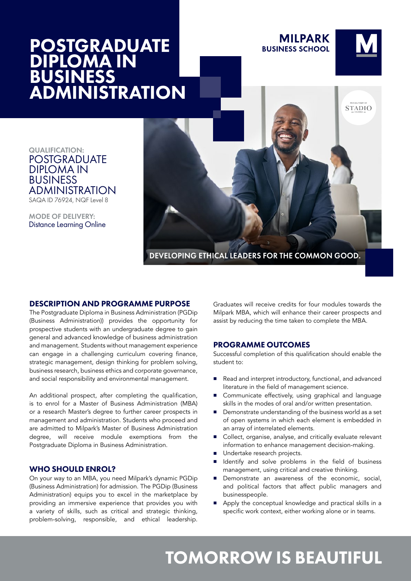## **POSTGRADUATE** DIPLOMA IN BUSINESS ADMINISTRATION

**MILPARK BUSINESS SCHOOL** 



**STADIO** 

QUALIFICATION: POSTGRADUATE DIPLOMA IN BUSINESS ADMINISTRATION SAQA ID 76924, NQF Level 8

MODE OF DELIVERY: Distance Learning Online

DEVELOPING ETHICAL LEADERS FOR THE COMMON GOOD.

## DESCRIPTION AND PROGRAMME PURPOSE

The Postgraduate Diploma in Business Administration (PGDip (Business Administration)) provides the opportunity for prospective students with an undergraduate degree to gain general and advanced knowledge of business administration and management. Students without management experience can engage in a challenging curriculum covering finance, strategic management, design thinking for problem solving, business research, business ethics and corporate governance, and social responsibility and environmental management.

An additional prospect, after completing the qualification, is to enrol for a Master of Business Administration (MBA) or a research Master's degree to further career prospects in management and administration. Students who proceed and are admitted to Milpark's Master of Business Administration degree, will receive module exemptions from the Postgraduate Diploma in Business Administration.

## WHO SHOULD ENROL?

On your way to an MBA, you need Milpark's dynamic PGDip (Business Administration) for admission. The PGDip (Business Administration) equips you to excel in the marketplace by providing an immersive experience that provides you with a variety of skills, such as critical and strategic thinking, problem-solving, responsible, and ethical leadership.

Graduates will receive credits for four modules towards the Milpark MBA, which will enhance their career prospects and assist by reducing the time taken to complete the MBA.

## PROGRAMME OUTCOMES

Successful completion of this qualification should enable the student to:

- Read and interpret introductory, functional, and advanced literature in the field of management science.
- Communicate effectively, using graphical and language skills in the modes of oral and/or written presentation.
- Demonstrate understanding of the business world as a set of open systems in which each element is embedded in an array of interrelated elements.
- Collect, organise, analyse, and critically evaluate relevant information to enhance management decision-making.
- Undertake research projects.
- Identify and solve problems in the field of business management, using critical and creative thinking.
- **Demonstrate an awareness of the economic, social,** and political factors that affect public managers and businesspeople.
- Apply the conceptual knowledge and practical skills in a specific work context, either working alone or in teams.

# TOMORROW IS BEAUTIFUL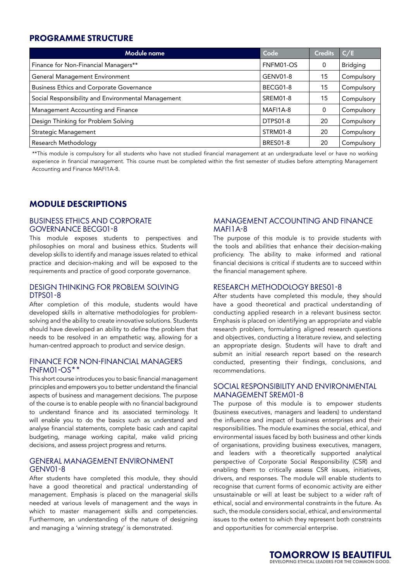## PROGRAMME STRUCTURE

| Module name                                        | Code            | <b>Credits</b> | C/E             |
|----------------------------------------------------|-----------------|----------------|-----------------|
| Finance for Non-Financial Managers**               | FNFM01-OS       | 0              | <b>Bridging</b> |
| General Management Environment                     | GENV01-8        | 15             | Compulsory      |
| <b>Business Ethics and Corporate Governance</b>    | BECG01-8        | 15             | Compulsory      |
| Social Responsibility and Environmental Management | SREM01-8        | 15             | Compulsory      |
| Management Accounting and Finance                  | MAFI1A-8        | 0              | Compulsory      |
| Design Thinking for Problem Solving                | <b>DTPS01-8</b> | 20             | Compulsory      |
| <b>Strategic Management</b>                        | STRM01-8        | 20             | Compulsory      |
| Research Methodology                               | <b>BRES01-8</b> | 20             | Compulsory      |

\*\*This module is compulsory for all students who have not studied financial management at an undergraduate level or have no working experience in financial management. This course must be completed within the first semester of studies before attempting Management Accounting and Finance MAFI1A-8.

## MODULE DESCRIPTIONS

## BUSINESS ETHICS AND CORPORATE GOVERNANCE BECG01-8

This module exposes students to perspectives and philosophies on moral and business ethics. Students will develop skills to identify and manage issues related to ethical practice and decision-making and will be exposed to the requirements and practice of good corporate governance.

#### DESIGN THINKING FOR PROBLEM SOLVING DTPS01-8

After completion of this module, students would have developed skills in alternative methodologies for problemsolving and the ability to create innovative solutions. Students should have developed an ability to define the problem that needs to be resolved in an empathetic way, allowing for a human-centred approach to product and service design.

#### FINANCE FOR NON-FINANCIAL MANAGERS FNFM01-OS\*\*

This short course introduces you to basic financial management principles and empowers you to better understand the financial aspects of business and management decisions. The purpose of the course is to enable people with no financial background to understand finance and its associated terminology. It will enable you to do the basics such as understand and analyse financial statements, complete basic cash and capital budgeting, manage working capital, make valid pricing decisions, and assess project progress and returns.

## GENERAL MANAGEMENT ENVIRONMENT GENV01-8

After students have completed this module, they should have a good theoretical and practical understanding of management. Emphasis is placed on the managerial skills needed at various levels of management and the ways in which to master management skills and competencies. Furthermore, an understanding of the nature of designing and managing a 'winning strategy' is demonstrated.

## MANAGEMENT ACCOUNTING AND FINANCE MAFI1A-8

The purpose of this module is to provide students with the tools and abilities that enhance their decision-making proficiency. The ability to make informed and rational financial decisions is critical if students are to succeed within the financial management sphere.

## RESEARCH METHODOLOGY BRES01-8

After students have completed this module, they should have a good theoretical and practical understanding of conducting applied research in a relevant business sector. Emphasis is placed on identifying an appropriate and viable research problem, formulating aligned research questions and objectives, conducting a literature review, and selecting an appropriate design. Students will have to draft and submit an initial research report based on the research conducted, presenting their findings, conclusions, and recommendations.

#### SOCIAL RESPONSIBILITY AND ENVIRONMENTAL MANAGEMENT SREM01-8

The purpose of this module is to empower students (business executives, managers and leaders) to understand the influence and impact of business enterprises and their responsibilities. The module examines the social, ethical, and environmental issues faced by both business and other kinds of organisations, providing business executives, managers, and leaders with a theoretically supported analytical perspective of Corporate Social Responsibility (CSR) and enabling them to critically assess CSR issues, initiatives, drivers, and responses. The module will enable students to recognise that current forms of economic activity are either unsustainable or will at least be subject to a wider raft of ethical, social and environmental constraints in the future. As such, the module considers social, ethical, and environmental issues to the extent to which they represent both constraints and opportunities for commercial enterprise.

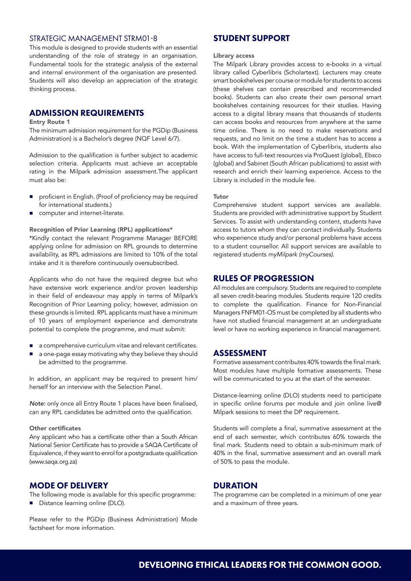## STRATEGIC MANAGEMENT STRM01-8

This module is designed to provide students with an essential understanding of the role of strategy in an organisation. Fundamental tools for the strategic analysis of the external and internal environment of the organisation are presented. Students will also develop an appreciation of the strategic thinking process.

## ADMISSION REQUIREMENTS

#### Entry Route 1

The minimum admission requirement for the PGDip (Business Administration) is a Bachelor's degree (NQF Level 6/7).

Admission to the qualification is further subject to academic selection criteria. Applicants must achieve an acceptable rating in the Milpark admission assessment.The applicant must also be:

- proficient in English. (Proof of proficiency may be required for international students.)
- computer and internet-literate.

Recognition of Prior Learning (RPL) applications\*

\*Kindly contact the relevant Programme Manager BEFORE applying online for admission on RPL grounds to determine availability, as RPL admissions are limited to 10% of the total intake and it is therefore continuously oversubscribed.

Applicants who do not have the required degree but who have extensive work experience and/or proven leadership in their field of endeavour may apply in terms of Milpark's Recognition of Prior Learning policy; however, admission on these grounds is limited. RPL applicants must have a minimum of 10 years of employment experience and demonstrate potential to complete the programme, and must submit:

- a comprehensive curriculum vitae and relevant certificates.
- a one-page essay motivating why they believe they should be admitted to the programme.

In addition, an applicant may be required to present him/ herself for an interview with the Selection Panel.

*Note:* only once all Entry Route 1 places have been finalised, can any RPL candidates be admitted onto the qualification.

#### Other certificates

Any applicant who has a certificate other than a South African National Senior Certificate has to provide a SAQA Certificate of Equivalence, if they want to enrol for a postgraduate qualification (www.saqa.org.za)

## MODE OF DELIVERY

The following mode is available for this specific programme: Distance learning online (DLO).

Please refer to the PGDip (Business Administration) Mode factsheet for more information.

## STUDENT SUPPORT

#### Library access

The Milpark Library provides access to e-books in a virtual library called Cyberlibris (Scholartext). Lecturers may create smart bookshelves per course or module for students to access (these shelves can contain prescribed and recommended books). Students can also create their own personal smart bookshelves containing resources for their studies. Having access to a digital library means that thousands of students can access books and resources from anywhere at the same time online. There is no need to make reservations and requests, and no limit on the time a student has to access a book. With the implementation of Cyberlibris, students also have access to full-text resources via ProQuest (global), Ebsco (global) and Sabinet (South African publications) to assist with research and enrich their learning experience. Access to the Library is included in the module fee.

#### Tutor

Comprehensive student support services are available. Students are provided with administrative support by Student Services. To assist with understanding content, students have access to tutors whom they can contact individually. Students who experience study and/or personal problems have access to a student counsellor. All support services are available to registered students *myMilpark (myCourses).*

## RULES OF PROGRESSION

All modules are compulsory. Students are required to complete all seven credit-bearing modules. Students require 120 credits to complete the qualification. Finance for Non-Financial Managers FNFM01-OS must be completed by all students who have not studied financial management at an undergraduate level or have no working experience in financial management.

## ASSESSMENT

Formative assessment contributes 40% towards the final mark. Most modules have multiple formative assessments. These will be communicated to you at the start of the semester.

Distance-learning online (DLO) students need to participate in specific online forums per module and join online live@ Milpark sessions to meet the DP requirement.

Students will complete a final, summative assessment at the end of each semester, which contributes 60% towards the final mark. Students need to obtain a sub-minimum mark of 40% in the final, summative assessment and an overall mark of 50% to pass the module.

## **DURATION**

The programme can be completed in a minimum of one year and a maximum of three years.